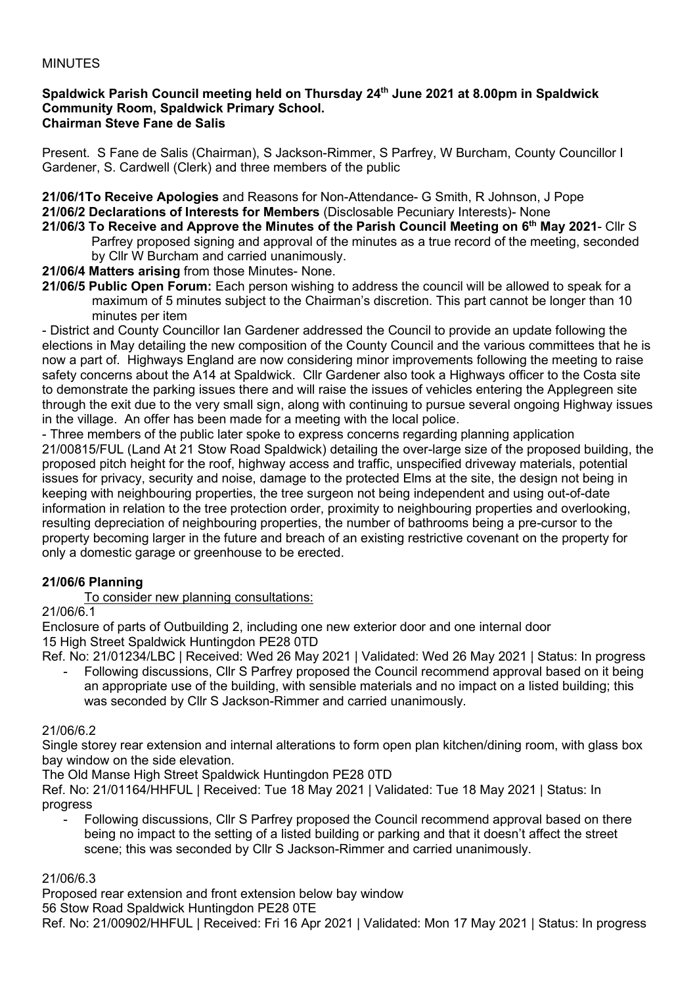#### MINUTES

#### **Spaldwick Parish Council meeting held on Thursday 24th June 2021 at 8.00pm in Spaldwick Community Room, Spaldwick Primary School. Chairman Steve Fane de Salis**

Present. S Fane de Salis (Chairman), S Jackson-Rimmer, S Parfrey, W Burcham, County Councillor I Gardener, S. Cardwell (Clerk) and three members of the public

**21/06/1To Receive Apologies** and Reasons for Non-Attendance- G Smith, R Johnson, J Pope **21/06/2 Declarations of Interests for Members** (Disclosable Pecuniary Interests)- None

- **21/06/3 To Receive and Approve the Minutes of the Parish Council Meeting on 6 th May 2021** Cllr S Parfrey proposed signing and approval of the minutes as a true record of the meeting, seconded by Cllr W Burcham and carried unanimously.
- **21/06/4 Matters arising** from those Minutes- None.
- **21/06/5 Public Open Forum:** Each person wishing to address the council will be allowed to speak for a maximum of 5 minutes subject to the Chairman's discretion. This part cannot be longer than 10 minutes per item

- District and County Councillor Ian Gardener addressed the Council to provide an update following the elections in May detailing the new composition of the County Council and the various committees that he is now a part of. Highways England are now considering minor improvements following the meeting to raise safety concerns about the A14 at Spaldwick. Cllr Gardener also took a Highways officer to the Costa site to demonstrate the parking issues there and will raise the issues of vehicles entering the Applegreen site through the exit due to the very small sign, along with continuing to pursue several ongoing Highway issues in the village. An offer has been made for a meeting with the local police.

- Three members of the public later spoke to express concerns regarding planning application 21/00815/FUL (Land At 21 Stow Road Spaldwick) detailing the over-large size of the proposed building, the proposed pitch height for the roof, highway access and traffic, unspecified driveway materials, potential issues for privacy, security and noise, damage to the protected Elms at the site, the design not being in keeping with neighbouring properties, the tree surgeon not being independent and using out-of-date information in relation to the tree protection order, proximity to neighbouring properties and overlooking, resulting depreciation of neighbouring properties, the number of bathrooms being a pre-cursor to the property becoming larger in the future and breach of an existing restrictive covenant on the property for only a domestic garage or greenhouse to be erected.

## **21/06/6 Planning**

To consider new planning consultations:

#### 21/06/6.1

Enclosure of parts of Outbuilding 2, including one new exterior door and one internal door 15 High Street Spaldwick Huntingdon PE28 0TD

Ref. No: 21/01234/LBC | Received: Wed 26 May 2021 | Validated: Wed 26 May 2021 | Status: In progress

Following discussions, Cllr S Parfrey proposed the Council recommend approval based on it being an appropriate use of the building, with sensible materials and no impact on a listed building; this was seconded by Cllr S Jackson-Rimmer and carried unanimously.

#### 21/06/6.2

Single storey rear extension and internal alterations to form open plan kitchen/dining room, with glass box bay window on the side elevation.

The Old Manse High Street Spaldwick Huntingdon PE28 0TD

Ref. No: 21/01164/HHFUL | Received: Tue 18 May 2021 | Validated: Tue 18 May 2021 | Status: In progress

Following discussions, Cllr S Parfrey proposed the Council recommend approval based on there being no impact to the setting of a listed building or parking and that it doesn't affect the street scene; this was seconded by Cllr S Jackson-Rimmer and carried unanimously.

## 21/06/6.3

Proposed rear extension and front extension below bay window

56 Stow Road Spaldwick Huntingdon PE28 0TE

Ref. No: 21/00902/HHFUL | Received: Fri 16 Apr 2021 | Validated: Mon 17 May 2021 | Status: In progress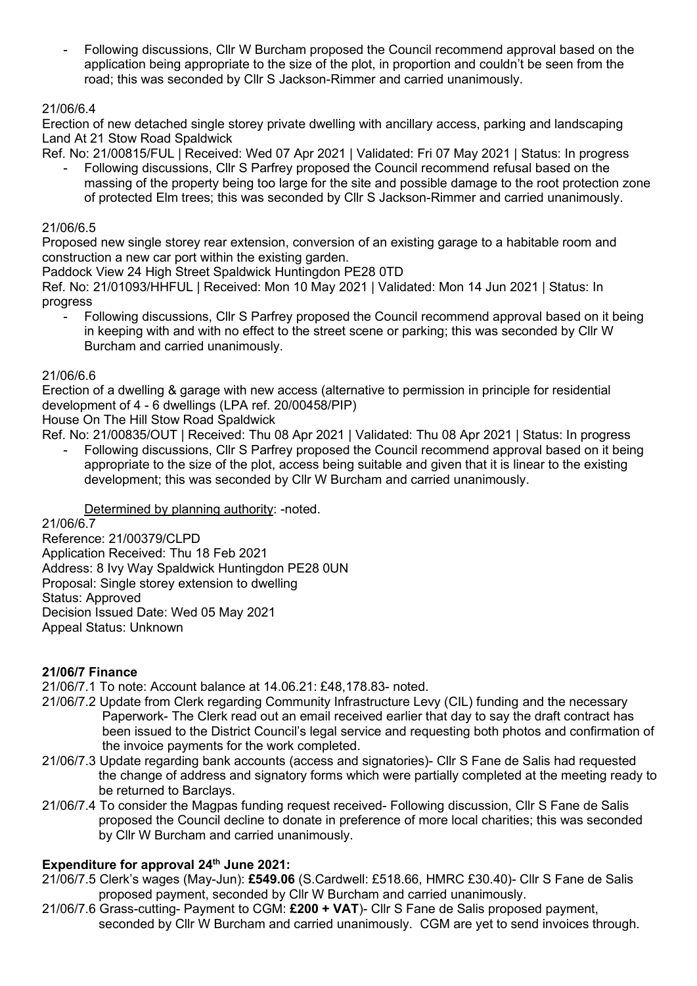- Following discussions, Cllr W Burcham proposed the Council recommend approval based on the application being appropriate to the size of the plot, in proportion and couldn't be seen from the road; this was seconded by Cllr S Jackson-Rimmer and carried unanimously.

## 21/06/6.4

Erection of new detached single storey private dwelling with ancillary access, parking and landscaping Land At 21 Stow Road Spaldwick

Ref. No: 21/00815/FUL | Received: Wed 07 Apr 2021 | Validated: Fri 07 May 2021 | Status: In progress

- Following discussions, Cllr S Parfrey proposed the Council recommend refusal based on the massing of the property being too large for the site and possible damage to the root protection zone of protected Elm trees; this was seconded by Cllr S Jackson-Rimmer and carried unanimously.

## 21/06/6.5

Proposed new single storey rear extension, conversion of an existing garage to a habitable room and construction a new car port within the existing garden.

Paddock View 24 High Street Spaldwick Huntingdon PE28 0TD

Ref. No: 21/01093/HHFUL | Received: Mon 10 May 2021 | Validated: Mon 14 Jun 2021 | Status: In progress

- Following discussions, Cllr S Parfrey proposed the Council recommend approval based on it being in keeping with and with no effect to the street scene or parking; this was seconded by Cllr W Burcham and carried unanimously.

#### 21/06/6.6

Erection of a dwelling & garage with new access (alternative to permission in principle for residential development of 4 - 6 dwellings (LPA ref. 20/00458/PIP)

House On The Hill Stow Road Spaldwick

Ref. No: 21/00835/OUT | Received: Thu 08 Apr 2021 | Validated: Thu 08 Apr 2021 | Status: In progress

- Following discussions, Cllr S Parfrey proposed the Council recommend approval based on it being appropriate to the size of the plot, access being suitable and given that it is linear to the existing development; this was seconded by Cllr W Burcham and carried unanimously.

## Determined by planning authority: -noted.

21/06/6.7

Reference: 21/00379/CLPD Application Received: Thu 18 Feb 2021 Address: 8 Ivy Way Spaldwick Huntingdon PE28 0UN Proposal: Single storey extension to dwelling Status: Approved Decision Issued Date: Wed 05 May 2021 Appeal Status: Unknown

## **21/06/7 Finance**

21/06/7.1 To note: Account balance at 14.06.21: £48,178.83- noted.

- 21/06/7.2 Update from Clerk regarding Community Infrastructure Levy (CIL) funding and the necessary Paperwork- The Clerk read out an email received earlier that day to say the draft contract has been issued to the District Council's legal service and requesting both photos and confirmation of the invoice payments for the work completed.
- 21/06/7.3 Update regarding bank accounts (access and signatories)- Cllr S Fane de Salis had requested the change of address and signatory forms which were partially completed at the meeting ready to be returned to Barclays.
- 21/06/7.4 To consider the Magpas funding request received- Following discussion, Cllr S Fane de Salis proposed the Council decline to donate in preference of more local charities; this was seconded by Cllr W Burcham and carried unanimously.

## **Expenditure for approval 24th June 2021:**

- 21/06/7.5 Clerk's wages (May-Jun): **£549.06** (S.Cardwell: £518.66, HMRC £30.40)- Cllr S Fane de Salis proposed payment, seconded by Cllr W Burcham and carried unanimously.
- 21/06/7.6 Grass-cutting- Payment to CGM: **£200 + VAT**)- Cllr S Fane de Salis proposed payment, seconded by Cllr W Burcham and carried unanimously. CGM are yet to send invoices through.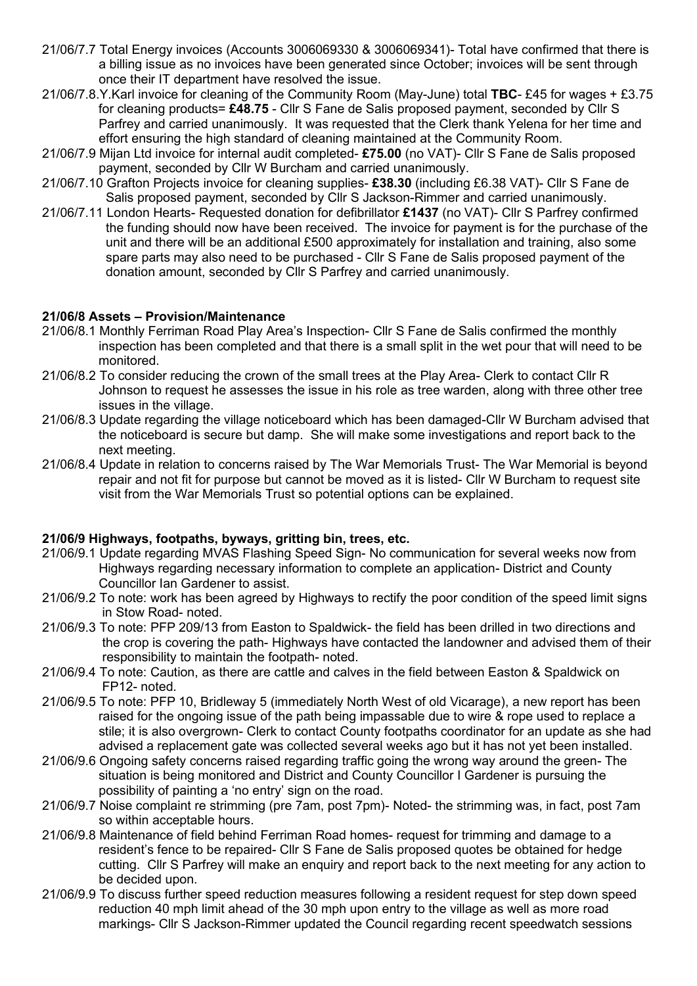- 21/06/7.7 Total Energy invoices (Accounts 3006069330 & 3006069341)- Total have confirmed that there is a billing issue as no invoices have been generated since October; invoices will be sent through once their IT department have resolved the issue.
- 21/06/7.8.Y.Karl invoice for cleaning of the Community Room (May-June) total **TBC** £45 for wages + £3.75 for cleaning products= **£48.75** - Cllr S Fane de Salis proposed payment, seconded by Cllr S Parfrey and carried unanimously. It was requested that the Clerk thank Yelena for her time and effort ensuring the high standard of cleaning maintained at the Community Room.
- 21/06/7.9 Mijan Ltd invoice for internal audit completed- **£75.00** (no VAT)- Cllr S Fane de Salis proposed payment, seconded by Cllr W Burcham and carried unanimously.
- 21/06/7.10 Grafton Projects invoice for cleaning supplies- **£38.30** (including £6.38 VAT)- Cllr S Fane de Salis proposed payment, seconded by Cllr S Jackson-Rimmer and carried unanimously.
- 21/06/7.11 London Hearts- Requested donation for defibrillator **£1437** (no VAT)- Cllr S Parfrey confirmed the funding should now have been received. The invoice for payment is for the purchase of the unit and there will be an additional £500 approximately for installation and training, also some spare parts may also need to be purchased - Cllr S Fane de Salis proposed payment of the donation amount, seconded by Cllr S Parfrey and carried unanimously.

#### **21/06/8 Assets – Provision/Maintenance**

- 21/06/8.1 Monthly Ferriman Road Play Area's Inspection- Cllr S Fane de Salis confirmed the monthly inspection has been completed and that there is a small split in the wet pour that will need to be monitored.
- 21/06/8.2 To consider reducing the crown of the small trees at the Play Area- Clerk to contact Cllr R Johnson to request he assesses the issue in his role as tree warden, along with three other tree issues in the village.
- 21/06/8.3 Update regarding the village noticeboard which has been damaged-Cllr W Burcham advised that the noticeboard is secure but damp. She will make some investigations and report back to the next meeting.
- 21/06/8.4 Update in relation to concerns raised by The War Memorials Trust- The War Memorial is beyond repair and not fit for purpose but cannot be moved as it is listed- Cllr W Burcham to request site visit from the War Memorials Trust so potential options can be explained.

## **21/06/9 Highways, footpaths, byways, gritting bin, trees, etc.**

- 21/06/9.1 Update regarding MVAS Flashing Speed Sign- No communication for several weeks now from Highways regarding necessary information to complete an application- District and County Councillor Ian Gardener to assist.
- 21/06/9.2 To note: work has been agreed by Highways to rectify the poor condition of the speed limit signs in Stow Road- noted.
- 21/06/9.3 To note: PFP 209/13 from Easton to Spaldwick- the field has been drilled in two directions and the crop is covering the path- Highways have contacted the landowner and advised them of their responsibility to maintain the footpath- noted.
- 21/06/9.4 To note: Caution, as there are cattle and calves in the field between Easton & Spaldwick on FP12- noted.
- 21/06/9.5 To note: PFP 10, Bridleway 5 (immediately North West of old Vicarage), a new report has been raised for the ongoing issue of the path being impassable due to wire & rope used to replace a stile; it is also overgrown- Clerk to contact County footpaths coordinator for an update as she had advised a replacement gate was collected several weeks ago but it has not yet been installed.
- 21/06/9.6 Ongoing safety concerns raised regarding traffic going the wrong way around the green- The situation is being monitored and District and County Councillor I Gardener is pursuing the possibility of painting a 'no entry' sign on the road.
- 21/06/9.7 Noise complaint re strimming (pre 7am, post 7pm)- Noted- the strimming was, in fact, post 7am so within acceptable hours.
- 21/06/9.8 Maintenance of field behind Ferriman Road homes- request for trimming and damage to a resident's fence to be repaired- Cllr S Fane de Salis proposed quotes be obtained for hedge cutting. Cllr S Parfrey will make an enquiry and report back to the next meeting for any action to be decided upon.
- 21/06/9.9 To discuss further speed reduction measures following a resident request for step down speed reduction 40 mph limit ahead of the 30 mph upon entry to the village as well as more road markings- Cllr S Jackson-Rimmer updated the Council regarding recent speedwatch sessions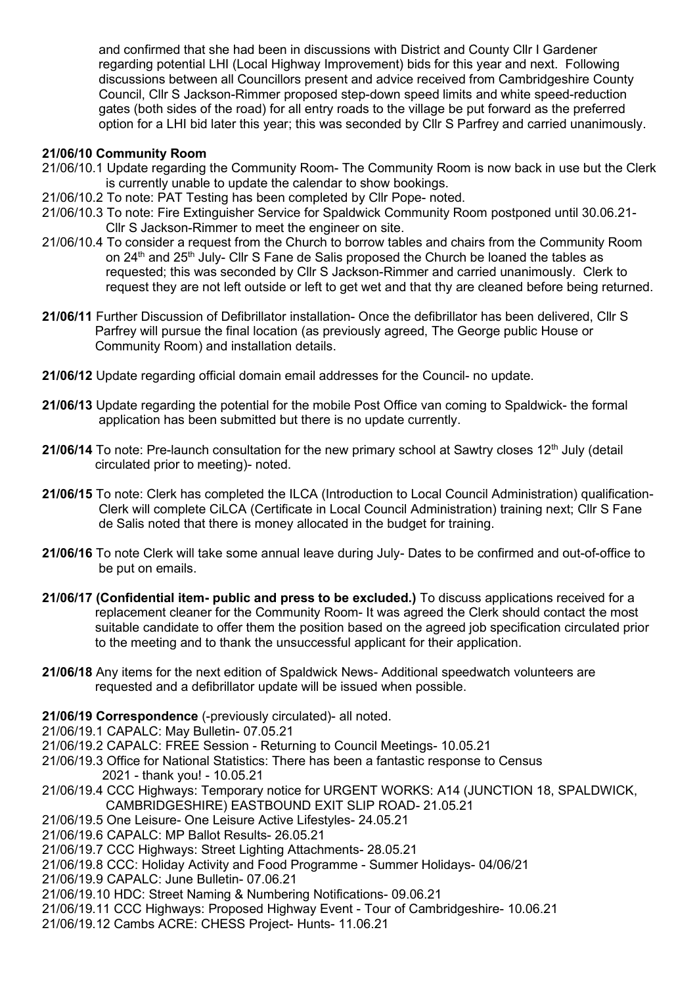and confirmed that she had been in discussions with District and County Cllr I Gardener regarding potential LHI (Local Highway Improvement) bids for this year and next. Following discussions between all Councillors present and advice received from Cambridgeshire County Council, Cllr S Jackson-Rimmer proposed step-down speed limits and white speed-reduction gates (both sides of the road) for all entry roads to the village be put forward as the preferred option for a LHI bid later this year; this was seconded by Cllr S Parfrey and carried unanimously.

#### **21/06/10 Community Room**

- 21/06/10.1 Update regarding the Community Room- The Community Room is now back in use but the Clerk is currently unable to update the calendar to show bookings.
- 21/06/10.2 To note: PAT Testing has been completed by Cllr Pope- noted.
- 21/06/10.3 To note: Fire Extinguisher Service for Spaldwick Community Room postponed until 30.06.21- Cllr S Jackson-Rimmer to meet the engineer on site.
- 21/06/10.4 To consider a request from the Church to borrow tables and chairs from the Community Room on  $24<sup>th</sup>$  and  $25<sup>th</sup>$  July- Cllr S Fane de Salis proposed the Church be loaned the tables as requested; this was seconded by Cllr S Jackson-Rimmer and carried unanimously. Clerk to request they are not left outside or left to get wet and that thy are cleaned before being returned.
- **21/06/11** Further Discussion of Defibrillator installation- Once the defibrillator has been delivered, Cllr S Parfrey will pursue the final location (as previously agreed, The George public House or Community Room) and installation details.
- **21/06/12** Update regarding official domain email addresses for the Council- no update.
- **21/06/13** Update regarding the potential for the mobile Post Office van coming to Spaldwick- the formal application has been submitted but there is no update currently.
- **21/06/14** To note: Pre-launch consultation for the new primary school at Sawtry closes 12<sup>th</sup> July (detail circulated prior to meeting)- noted.
- **21/06/15** To note: Clerk has completed the ILCA (Introduction to Local Council Administration) qualification- Clerk will complete CiLCA (Certificate in Local Council Administration) training next; Cllr S Fane de Salis noted that there is money allocated in the budget for training.
- **21/06/16** To note Clerk will take some annual leave during July- Dates to be confirmed and out-of-office to be put on emails.
- **21/06/17 (Confidential item- public and press to be excluded.)** To discuss applications received for a replacement cleaner for the Community Room- It was agreed the Clerk should contact the most suitable candidate to offer them the position based on the agreed job specification circulated prior to the meeting and to thank the unsuccessful applicant for their application.
- **21/06/18** Any items for the next edition of Spaldwick News- Additional speedwatch volunteers are requested and a defibrillator update will be issued when possible.

**21/06/19 Correspondence** (-previously circulated)- all noted.

21/06/19.1 CAPALC: May Bulletin- 07.05.21

- 21/06/19.2 CAPALC: FREE Session Returning to Council Meetings- 10.05.21
- 21/06/19.3 Office for National Statistics: There has been a fantastic response to Census 2021 - thank you! - 10.05.21
- 21/06/19.4 CCC Highways: Temporary notice for URGENT WORKS: A14 (JUNCTION 18, SPALDWICK, CAMBRIDGESHIRE) EASTBOUND EXIT SLIP ROAD- 21.05.21
- 21/06/19.5 One Leisure- One Leisure Active Lifestyles- 24.05.21
- 21/06/19.6 CAPALC: MP Ballot Results- 26.05.21
- 21/06/19.7 CCC Highways: Street Lighting Attachments- 28.05.21
- 21/06/19.8 CCC: Holiday Activity and Food Programme Summer Holidays- 04/06/21
- 21/06/19.9 CAPALC: June Bulletin- 07.06.21
- 21/06/19.10 HDC: Street Naming & Numbering Notifications- 09.06.21
- 21/06/19.11 CCC Highways: Proposed Highway Event Tour of Cambridgeshire- 10.06.21
- 21/06/19.12 Cambs ACRE: CHESS Project- Hunts- 11.06.21